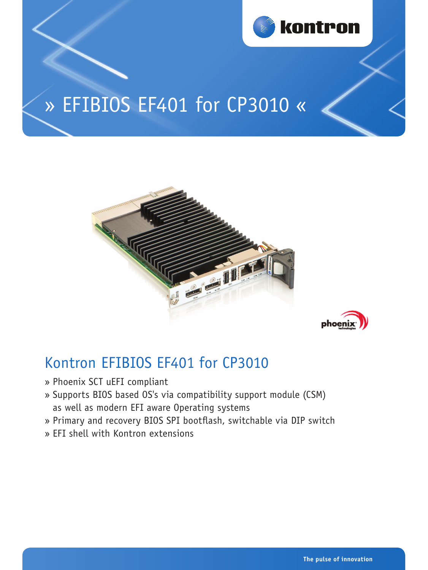

# » EFIBIOS EF401 for CP3010 «





# Kontron EFIBIOS EF401 for CP3010

- » Phoenix SCT uEFI compliant
- » Supports BIOS based OS's via compatibility support module (CSM) as well as modern EFI aware Operating systems
- » Primary and recovery BIOS SPI bootflash, switchable via DIP switch
- » EFI shell with Kontron extensions